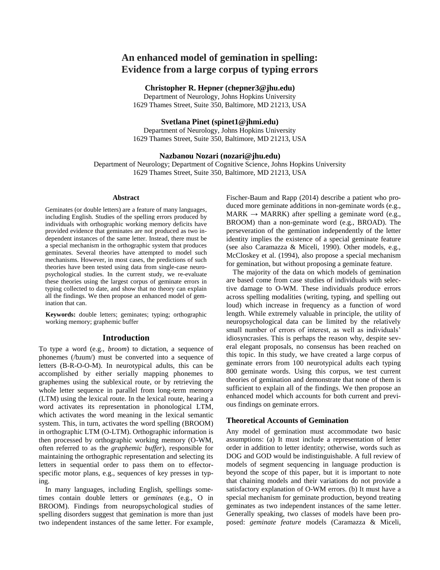# **An enhanced model of gemination in spelling: Evidence from a large corpus of typing errors**

# **Christopher R. Hepner (chepner3@jhu.edu)**

Department of Neurology, Johns Hopkins University 1629 Thames Street, Suite 350, Baltimore, MD 21213, USA

### **Svetlana Pinet (spinet1@jhmi.edu)**

Department of Neurology, Johns Hopkins University 1629 Thames Street, Suite 350, Baltimore, MD 21213, USA

#### **Nazbanou Nozari (nozari@jhu.edu)**

Department of Neurology; Department of Cognitive Science, Johns Hopkins University 1629 Thames Street, Suite 350, Baltimore, MD 21213, USA

#### **Abstract**

Geminates (or double letters) are a feature of many languages, including English. Studies of the spelling errors produced by individuals with orthographic working memory deficits have provided evidence that geminates are not produced as two independent instances of the same letter. Instead, there must be a special mechanism in the orthographic system that produces geminates. Several theories have attempted to model such mechanisms. However, in most cases, the predictions of such theories have been tested using data from single-case neuropsychological studies. In the current study, we re-evaluate these theories using the largest corpus of geminate errors in typing collected to date, and show that no theory can explain all the findings. We then propose an enhanced model of gemination that can.

**Keywords:** double letters; geminates; typing; orthographic working memory; graphemic buffer

### **Introduction**

To type a word (e.g., *broom*) to dictation, a sequence of phonemes (/bɹum/) must be converted into a sequence of letters (B-R-O-O-M). In neurotypical adults, this can be accomplished by either serially mapping phonemes to graphemes using the sublexical route, or by retrieving the whole letter sequence in parallel from long-term memory (LTM) using the lexical route. In the lexical route, hearing a word activates its representation in phonological LTM, which activates the word meaning in the lexical semantic system. This, in turn, activates the word spelling (BROOM) in orthographic LTM (O-LTM). Orthographic information is then processed by orthographic working memory (O-WM, often referred to as the *graphemic buffer*), responsible for maintaining the orthographic representation and selecting its letters in sequential order to pass them on to effectorspecific motor plans, e.g., sequences of key presses in typing.

In many languages, including English, spellings sometimes contain double letters or *geminates* (e.g., O in BROOM). Findings from neuropsychological studies of spelling disorders suggest that gemination is more than just two independent instances of the same letter. For example,

Fischer-Baum and Rapp (2014) describe a patient who produced more geminate additions in non-geminate words (e.g.,  $MARK \rightarrow MARK$ ) after spelling a geminate word (e.g., BROOM) than a non-geminate word (e.g., BROAD). The perseveration of the gemination independently of the letter identity implies the existence of a special geminate feature (see also Caramazza & Miceli, 1990). Other models, e.g., McCloskey et al. (1994), also propose a special mechanism for gemination, but without proposing a geminate feature.

The majority of the data on which models of gemination are based come from case studies of individuals with selective damage to O-WM. These individuals produce errors across spelling modalities (writing, typing, and spelling out loud) which increase in frequency as a function of word length. While extremely valuable in principle, the utility of neuropsychological data can be limited by the relatively small number of errors of interest, as well as individuals' idiosyncrasies. This is perhaps the reason why, despite several elegant proposals, no consensus has been reached on this topic. In this study, we have created a large corpus of geminate errors from 100 neurotypical adults each typing 800 geminate words. Using this corpus, we test current theories of gemination and demonstrate that none of them is sufficient to explain all of the findings. We then propose an enhanced model which accounts for both current and previous findings on geminate errors.

#### **Theoretical Accounts of Gemination**

Any model of gemination must accommodate two basic assumptions: (a) It must include a representation of letter order in addition to letter identity; otherwise, words such as DOG and GOD would be indistinguishable. A full review of models of segment sequencing in language production is beyond the scope of this paper, but it is important to note that chaining models and their variations do not provide a satisfactory explanation of O-WM errors. (b) It must have a special mechanism for geminate production, beyond treating geminates as two independent instances of the same letter. Generally speaking, two classes of models have been proposed: *geminate feature* models (Caramazza & Miceli,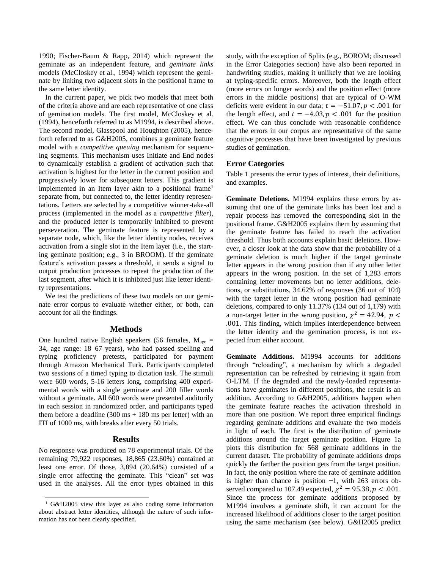1990; Fischer-Baum & Rapp, 2014) which represent the geminate as an independent feature, and *geminate links* models (McCloskey et al., 1994) which represent the geminate by linking two adjacent slots in the positional frame to the same letter identity.

In the current paper, we pick two models that meet both of the criteria above and are each representative of one class of gemination models. The first model, McCloskey et al. (1994), henceforth referred to as M1994, is described above. The second model, Glasspool and Houghton (2005), henceforth referred to as G&H2005, combines a geminate feature model with a *competitive queuing* mechanism for sequencing segments. This mechanism uses Initiate and End nodes to dynamically establish a gradient of activation such that activation is highest for the letter in the current position and progressively lower for subsequent letters. This gradient is implemented in an Item layer akin to a positional frame<sup>1</sup> separate from, but connected to, the letter identity representations. Letters are selected by a competitive winner-take-all process (implemented in the model as a *competitive filter*), and the produced letter is temporarily inhibited to prevent perseveration. The geminate feature is represented by a separate node, which, like the letter identity nodes, receives activation from a single slot in the Item layer (i.e., the starting geminate position; e.g., 3 in BROOM). If the geminate feature's activation passes a threshold, it sends a signal to output production processes to repeat the production of the last segment, after which it is inhibited just like letter identity representations.

We test the predictions of these two models on our geminate error corpus to evaluate whether either, or both, can account for all the findings.

#### **Methods**

One hundred native English speakers (56 females,  $M_{\text{age}} =$ 34, age range: 18–67 years), who had passed spelling and typing proficiency pretests, participated for payment through Amazon Mechanical Turk. Participants completed two sessions of a timed typing to dictation task. The stimuli were 600 words, 5-16 letters long, comprising 400 experimental words with a single geminate and 200 filler words without a geminate. All 600 words were presented auditorily in each session in randomized order, and participants typed them before a deadline  $(300 \text{ ms} + 180 \text{ ms per letter})$  with an ITI of 1000 ms, with breaks after every 50 trials.

#### **Results**

No response was produced on 78 experimental trials. Of the remaining 79,922 responses, 18,865 (23.60%) contained at least one error. Of those, 3,894 (20.64%) consisted of a single error affecting the geminate. This "clean" set was used in the analyses. All the error types obtained in this

 $\overline{\phantom{a}}$ 

study, with the exception of Splits (e.g., BOROM; discussed in the Error Categories section) have also been reported in handwriting studies, making it unlikely that we are looking at typing-specific errors. Moreover, both the length effect (more errors on longer words) and the position effect (more errors in the middle positions) that are typical of O-WM deficits were evident in our data;  $t = -51.07, p < .001$  for the length effect, and  $t = -4.03, p < .001$  for the position effect. We can thus conclude with reasonable confidence that the errors in our corpus are representative of the same cognitive processes that have been investigated by previous studies of gemination.

#### **Error Categories**

Table 1 presents the error types of interest, their definitions, and examples.

**Geminate Deletions.** M1994 explains these errors by assuming that one of the geminate links has been lost and a repair process has removed the corresponding slot in the positional frame. G&H2005 explains them by assuming that the geminate feature has failed to reach the activation threshold. Thus both accounts explain basic deletions. However, a closer look at the data show that the probability of a geminate deletion is much higher if the target geminate letter appears in the wrong position than if any other letter appears in the wrong position. In the set of 1,283 errors containing letter movements but no letter additions, deletions, or substitutions, 34.62% of responses (36 out of 104) with the target letter in the wrong position had geminate deletions, compared to only 11.37% (134 out of 1,179) with a non-target letter in the wrong position,  $\chi^2 = 42.94$ ,  $p <$ .001. This finding, which implies interdependence between the letter identity and the gemination process, is not expected from either account.

**Geminate Additions.** M1994 accounts for additions through "reloading", a mechanism by which a degraded representation can be refreshed by retrieving it again from O-LTM. If the degraded and the newly-loaded representations have geminates in different positions, the result is an addition. According to G&H2005, additions happen when the geminate feature reaches the activation threshold in more than one position. We report three empirical findings regarding geminate additions and evaluate the two models in light of each. The first is the distribution of geminate additions around the target geminate position. Figure 1a plots this distribution for 568 geminate additions in the current dataset. The probability of geminate additions drops quickly the farther the position gets from the target position. In fact, the only position where the rate of geminate addition is higher than chance is position −1, with 263 errors observed compared to 107.49 expected,  $\chi^2 = 95.38, p < .001$ . Since the process for geminate additions proposed by M1994 involves a geminate shift, it can account for the increased likelihood of additions closer to the target position using the same mechanism (see below). G&H2005 predict

<sup>1</sup> G&H2005 view this layer as also coding some information about abstract letter identities, although the nature of such information has not been clearly specified.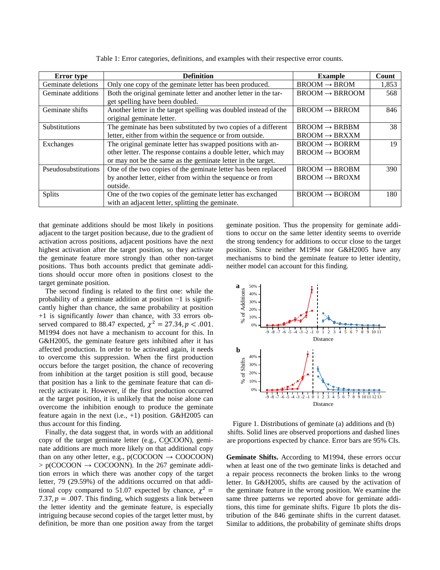| <b>Error</b> type    | <b>Definition</b>                                                | <b>Example</b>                | Count |
|----------------------|------------------------------------------------------------------|-------------------------------|-------|
| Geminate deletions   | Only one copy of the geminate letter has been produced.          | $B$ ROOM $\rightarrow$ BROM   | 1,853 |
| Geminate additions   | Both the original geminate letter and another letter in the tar- | $B$ ROOM $\rightarrow$ BRROOM | 568   |
|                      | get spelling have been doubled.                                  |                               |       |
| Geminate shifts      | Another letter in the target spelling was doubled instead of the | $B$ ROOM $\rightarrow$ BRROM  | 846   |
|                      | original geminate letter.                                        |                               |       |
| <b>Substitutions</b> | The geminate has been substituted by two copies of a different   | $BROOM \rightarrow BRBBM$     | 38    |
|                      | letter, either from within the sequence or from outside.         | $B$ ROOM $\rightarrow$ BRXXM  |       |
| Exchanges            | The original geminate letter has swapped positions with an-      | $BROOM \rightarrow BORRM$     | 19    |
|                      | other letter. The response contains a double letter, which may   | $B$ ROOM $\rightarrow$ BOORM  |       |
|                      | or may not be the same as the geminate letter in the target.     |                               |       |
| Pseudosubstitutions  | One of the two copies of the geminate letter has been replaced   | $B$ ROOM $\rightarrow$ BROBM  | 390   |
|                      | by another letter, either from within the sequence or from       | $B$ ROOM $\rightarrow$ BROXM  |       |
|                      | outside.                                                         |                               |       |
| <b>Splits</b>        | One of the two copies of the geminate letter has exchanged       | $B$ ROOM $\rightarrow$ BOROM  | 180   |
|                      | with an adjacent letter, splitting the geminate.                 |                               |       |

Table 1: Error categories, definitions, and examples with their respective error counts.

that geminate additions should be most likely in positions adjacent to the target position because, due to the gradient of activation across positions, adjacent positions have the next highest activation after the target position, so they activate the geminate feature more strongly than other non-target positions. Thus both accounts predict that geminate additions should occur more often in positions closest to the target geminate position.

The second finding is related to the first one: while the probability of a geminate addition at position −1 is significantly higher than chance, the same probability at position +1 is significantly *lower* than chance, with 33 errors observed compared to 88.47 expected,  $\chi^2 = 27.34$ ,  $p < .001$ . M1994 does not have a mechanism to account for this. In G&H2005, the geminate feature gets inhibited after it has affected production. In order to be activated again, it needs to overcome this suppression. When the first production occurs before the target position, the chance of recovering from inhibition at the target position is still good, because that position has a link to the geminate feature that can directly activate it. However, if the first production occurred at the target position, it is unlikely that the noise alone can overcome the inhibition enough to produce the geminate feature again in the next (i.e.,  $+1$ ) position. G&H2005 can thus account for this finding.

Finally, the data suggest that, in words with an additional copy of the target geminate letter (e.g., COCOON), geminate additions are much more likely on that additional copy than on any other letter, e.g.,  $p(COCOON \rightarrow COOCOON)$  $> p(COCOON \rightarrow COCOON)$ . In the 267 geminate addition errors in which there was another copy of the target letter, 79 (29.59%) of the additions occurred on that additional copy compared to 51.07 expected by chance,  $\chi^2$  = 7.37,  $p = .007$ . This finding, which suggests a link between the letter identity and the geminate feature, is especially intriguing because second copies of the target letter must, by definition, be more than one position away from the target geminate position. Thus the propensity for geminate additions to occur on the same letter identity seems to override the strong tendency for additions to occur close to the target position. Since neither M1994 nor G&H2005 have any mechanisms to bind the geminate feature to letter identity, neither model can account for this finding.



Figure 1. Distributions of geminate (a) additions and (b) shifts. Solid lines are observed proportions and dashed lines are proportions expected by chance. Error bars are 95% CIs.

**Geminate Shifts.** According to M1994, these errors occur when at least one of the two geminate links is detached and a repair process reconnects the broken links to the wrong letter. In G&H2005, shifts are caused by the activation of the geminate feature in the wrong position. We examine the same three patterns we reported above for geminate additions, this time for geminate shifts. Figure 1b plots the distribution of the 846 geminate shifts in the current dataset. Similar to additions, the probability of geminate shifts drops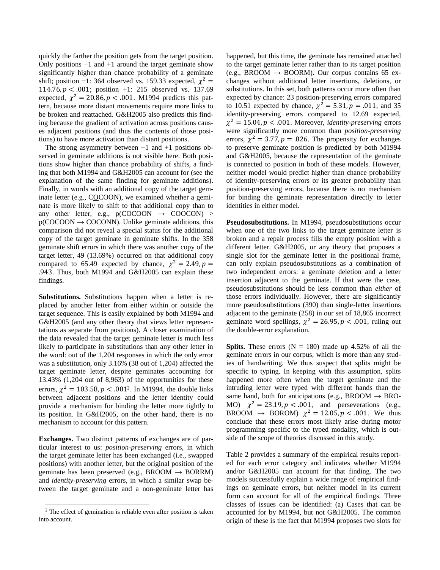quickly the farther the position gets from the target position. Only positions  $-1$  and  $+1$  around the target geminate show significantly higher than chance probability of a geminate shift; position -1: 364 observed vs. 159.33 expected,  $\chi^2$  = 114.76,  $p < .001$ ; position +1: 215 observed vs. 137.69 expected,  $\chi^2 = 20.86$ ,  $p < .001$ . M1994 predicts this pattern, because more distant movements require more links to be broken and reattached. G&H2005 also predicts this finding because the gradient of activation across positions causes adjacent positions (and thus the contents of those positions) to have more activation than distant positions.

The strong asymmetry between  $-1$  and  $+1$  positions observed in geminate additions is not visible here. Both positions show higher than chance probability of shifts, a finding that both M1994 and G&H2005 can account for (see the explanation of the same finding for geminate additions). Finally, in words with an additional copy of the target geminate letter (e.g., COCOON), we examined whether a geminate is more likely to shift to that additional copy than to any other letter, e.g.,  $p(COCOON \rightarrow COOCON) >$  $p(COCOON \rightarrow COCONN)$ . Unlike geminate additions, this comparison did not reveal a special status for the additional copy of the target geminate in geminate shifts. In the 358 geminate shift errors in which there was another copy of the target letter, 49 (13.69%) occurred on that additional copy compared to 65.49 expected by chance,  $\chi^2 = 2.49$ ,  $p =$ .943. Thus, both M1994 and G&H2005 can explain these findings.

**Substitutions.** Substitutions happen when a letter is replaced by another letter from either within or outside the target sequence. This is easily explained by both M1994 and G&H2005 (and any other theory that views letter representations as separate from positions). A closer examination of the data revealed that the target geminate letter is much less likely to participate in substitutions than any other letter in the word: out of the 1,204 responses in which the only error was a substitution, only 3.16% (38 out of 1,204) affected the target geminate letter, despite geminates accounting for 13.43% (1,204 out of 8,963) of the opportunities for these errors,  $\chi^2 = 103.58, p < .001^2$ . In M1994, the double links between adjacent positions and the letter identity could provide a mechanism for binding the letter more tightly to its position. In G&H2005, on the other hand, there is no mechanism to account for this pattern.

**Exchanges.** Two distinct patterns of exchanges are of particular interest to us: *position-preserving* errors, in which the target geminate letter has been exchanged (i.e., swapped positions) with another letter, but the original position of the geminate has been preserved (e.g., BROOM  $\rightarrow$  BORRM) and *identity-preserving* errors, in which a similar swap between the target geminate and a non-geminate letter has

 $\overline{\phantom{a}}$ 

happened, but this time, the geminate has remained attached to the target geminate letter rather than to its target position (e.g., BROOM  $\rightarrow$  BOORM). Our corpus contains 65 exchanges without additional letter insertions, deletions, or substitutions. In this set, both patterns occur more often than expected by chance: 23 position-preserving errors compared to 10.51 expected by chance,  $\chi^2 = 5.31, p = .011$ , and 35 identity-preserving errors compared to 12.69 expected,  $\chi^2 = 15.04, p < .001$ . Moreover, *identity-preserving* errors were significantly more common than *position-preserving* errors,  $\chi^2 = 3.77$ ,  $p = 0.026$ . The propensity for exchanges to preserve geminate position is predicted by both M1994 and G&H2005, because the representation of the geminate is connected to position in both of these models. However, neither model would predict higher than chance probability of identity-preserving errors or its greater probability than position-preserving errors, because there is no mechanism for binding the geminate representation directly to letter identities in either model.

**Pseudosubstitutions.** In M1994, pseudosubstitutions occur when one of the two links to the target geminate letter is broken and a repair process fills the empty position with a different letter. G&H2005, or any theory that proposes a single slot for the geminate letter in the positional frame, can only explain pseudosubstitutions as a combination of two independent errors: a geminate deletion and a letter insertion adjacent to the geminate. If that were the case, pseudosubstitutions should be less common than *either* of those errors individually. However, there are significantly more pseudosubstitutions (390) than single-letter insertions adjacent to the geminate (258) in our set of 18,865 incorrect geminate word spellings,  $\chi^2 = 26.95$ ,  $p < .001$ , ruling out the double-error explanation.

**Splits.** These errors  $(N = 180)$  made up 4.52% of all the geminate errors in our corpus, which is more than any studies of handwriting. We thus suspect that splits might be specific to typing. In keeping with this assumption, splits happened more often when the target geminate and the intruding letter were typed with different hands than the same hand, both for anticipations (e.g., BROOM  $\rightarrow$  BRO-MO)  $\chi^2 = 23.19$ ,  $p < .001$ , and perseverations (e.g., BROOM  $\rightarrow$  BOROM)  $\chi^2 = 12.05$ ,  $p < .001$ . We thus conclude that these errors most likely arise during motor programming specific to the typed modality, which is outside of the scope of theories discussed in this study.

Table 2 provides a summary of the empirical results reported for each error category and indicates whether M1994 and/or G&H2005 can account for that finding. The two models successfully explain a wide range of empirical findings on geminate errors, but neither model in its current form can account for all of the empirical findings. Three classes of issues can be identified: (a) Cases that can be accounted for by M1994, but not G&H2005. The common origin of these is the fact that M1994 proposes two slots for

<sup>2</sup> The effect of gemination is reliable even after position is taken into account.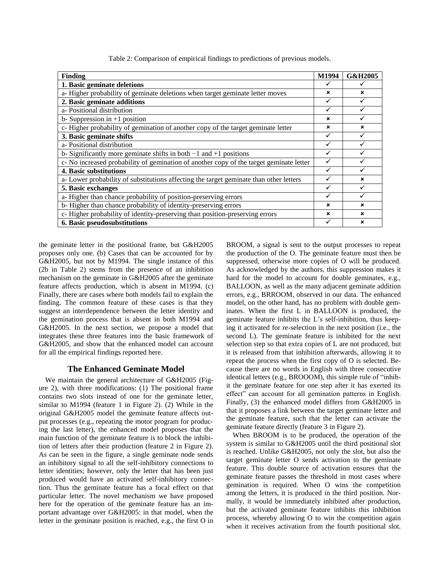| <b>Finding</b>                                                                          |  | G&H2005     |
|-----------------------------------------------------------------------------------------|--|-------------|
| 1. Basic geminate deletions                                                             |  |             |
| a-Higher probability of geminate deletions when target geminate letter moves            |  | $\mathbf x$ |
| 2. Basic geminate additions                                                             |  | ✓           |
| a- Positional distribution                                                              |  | ✓           |
| b-Suppression in $+1$ position                                                          |  |             |
| c- Higher probability of gemination of another copy of the target geminate letter       |  | ×           |
| 3. Basic geminate shifts                                                                |  |             |
| a- Positional distribution                                                              |  |             |
| b- Significantly more geminate shifts in both $-1$ and $+1$ positions                   |  |             |
| c- No increased probability of gemination of another copy of the target geminate letter |  |             |
| 4. Basic substitutions                                                                  |  |             |
| a-Lower probability of substitutions affecting the target geminate than other letters   |  | ×           |
| 5. Basic exchanges                                                                      |  |             |
| a-Higher than chance probability of position-preserving errors                          |  |             |
| b-Higher than chance probability of identity-preserving errors                          |  | ×           |
| c-Higher probability of identity-preserving than position-preserving errors             |  | ×           |
| 6. Basic pseudosubstitutions                                                            |  | ×           |

Table 2: Comparison of empirical findings to predictions of previous models.

the geminate letter in the positional frame, but G&H2005 proposes only one. (b) Cases that can be accounted for by G&H2005, but not by M1994. The single instance of this (2b in Table 2) stems from the presence of an inhibition mechanism on the geminate in G&H2005 after the geminate feature affects production, which is absent in M1994. (c) Finally, there are cases where both models fail to explain the finding. The common feature of these cases is that they suggest an interdependence between the letter identity and the gemination process that is absent in both M1994 and G&H2005. In the next section, we propose a model that integrates these three features into the basic framework of G&H2005, and show that the enhanced model can account for all the empirical findings reported here.

#### **The Enhanced Geminate Model**

We maintain the general architecture of G&H2005 (Figure 2), with three modifications: (1) The positional frame contains two slots instead of one for the geminate letter, similar to M1994 (feature 1 in Figure 2). (2) While in the original G&H2005 model the geminate feature affects output processes (e.g., repeating the motor program for producing the last letter), the enhanced model proposes that the main function of the geminate feature is to block the inhibition of letters after their production (feature 2 in Figure 2). As can be seen in the figure, a single geminate node sends an inhibitory signal to all the self-inhibitory connections to letter identities; however, only the letter that has been just produced would have an activated self-inhibitory connection. Thus the geminate feature has a focal effect on that particular letter. The novel mechanism we have proposed here for the operation of the geminate feature has an important advantage over G&H2005: in that model, when the letter in the geminate position is reached, e.g., the first O in BROOM, a signal is sent to the output processes to repeat the production of the O. The geminate feature must then be suppressed, otherwise more copies of O will be produced. As acknowledged by the authors, this suppression makes it hard for the model to account for double geminates, e.g., BALLOON, as well as the many adjacent geminate addition errors, e.g., BRROOM, observed in our data. The enhanced model, on the other hand, has no problem with double geminates. When the first L in BALLOON is produced, the geminate feature inhibits the L's self-inhibition, thus keeping it activated for re-selection in the next position (i.e., the second L). The geminate feature is inhibited for the next selection step so that extra copies of L are not produced, but it is released from that inhibition afterwards, allowing it to repeat the process when the first copy of O is selected. Because there are no words in English with three consecutive identical letters (e.g., BROOOM), this simple rule of "inhibit the geminate feature for one step after it has exerted its effect" can account for all gemination patterns in English. Finally, (3) the enhanced model differs from G&H2005 in that it proposes a link between the target geminate letter and the geminate feature, such that the letter can activate the geminate feature directly (feature 3 in Figure 2).

When BROOM is to be produced, the operation of the system is similar to G&H2005 until the third positional slot is reached. Unlike G&H2005, not only the slot, but also the target geminate letter O sends activation to the geminate feature. This double source of activation ensures that the geminate feature passes the threshold in most cases where gemination is required. When O wins the competition among the letters, it is produced in the third position. Normally, it would be immediately inhibited after production, but the activated geminate feature inhibits this inhibition process, whereby allowing O to win the competition again when it receives activation from the fourth positional slot.